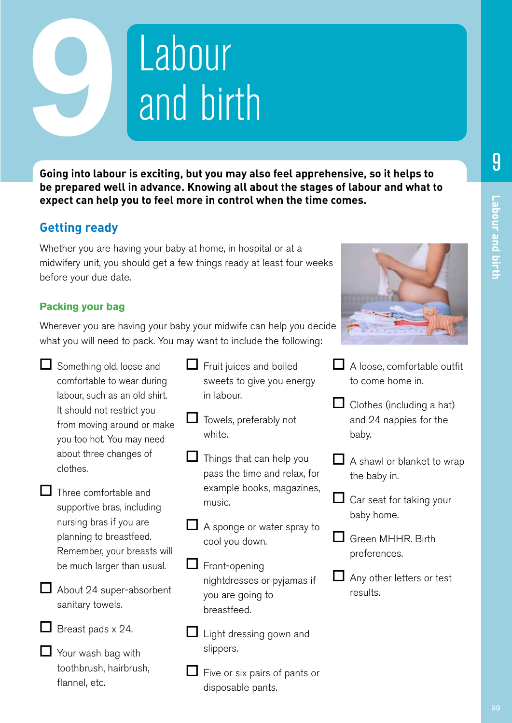# Labour and birth 9

**Going into labour is exciting, but you may also feel apprehensive, so it helps to be prepared well in advance. Knowing all about the stages of labour and what to expect can help you to feel more in control when the time comes.**

# **Getting ready**

Whether you are having your baby at home, in hospital or at a midwifery unit, you should get a few things ready at least four weeks before your due date.

# **Packing your bag**

Wherever you are having your baby your midwife can help you decide what you will need to pack. You may want to include the following:

- $\Box$  Something old, loose and comfortable to wear during labour, such as an old shirt. It should not restrict you from moving around or make you too hot. You may need about three changes of clothes.
- $\Box$  Three comfortable and supportive bras, including nursing bras if you are planning to breastfeed. Remember, your breasts will be much larger than usual.

About 24 super-absorbent sanitary towels.



 $\Box$  Breast pads x 24.

 $\Box$  Your wash bag with toothbrush, hairbrush, flannel, etc.

- $\Box$  Fruit juices and boiled sweets to give you energy in labour.
- $\Box$  Towels, preferably not white.
	- Things that can help you pass the time and relax, for example books, magazines, music.
- **■** A sponge or water spray to cool you down.
- $\Box$  Front-opening nightdresses or pyjamas if you are going to breastfeed.
- $\Box$  Light dressing gown and slippers.
- Five or six pairs of pants or disposable pants.



- $\Box$  A loose, comfortable outfit to come home in.
- $\Box$  Clothes (including a hat) and 24 nappies for the baby.
- A shawl or blanket to wrap the baby in.
- $\Box$  Car seat for taking your baby home.
- Green MHHR. Birth preferences.
- Any other letters or test results.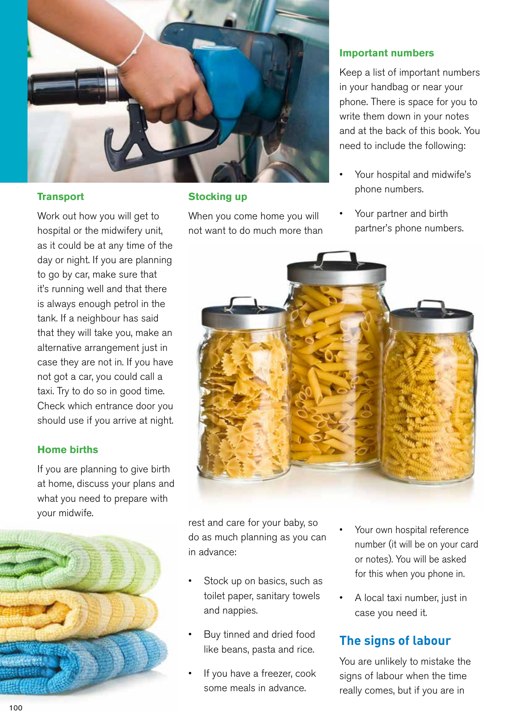

## **Transport**

Work out how you will get to hospital or the midwifery unit, as it could be at any time of the day or night. If you are planning to go by car, make sure that it's running well and that there is always enough petrol in the tank. If a neighbour has said that they will take you, make an alternative arrangement just in case they are not in. If you have not got a car, you could call a taxi. Try to do so in good time. Check which entrance door you should use if you arrive at night.

## **Home births**

If you are planning to give birth at home, discuss your plans and what you need to prepare with your midwife.



## **Stocking up**

When you come home you will not want to do much more than

## **Important numbers**

Keep a list of important numbers in your handbag or near your phone. There is space for you to write them down in your notes and at the back of this book. You need to include the following:

- Your hospital and midwife's phone numbers.
- Your partner and birth partner's phone numbers.



rest and care for your baby, so do as much planning as you can in advance:

- Stock up on basics, such as toilet paper, sanitary towels and nappies.
- Buy tinned and dried food like beans, pasta and rice.
- If you have a freezer, cook some meals in advance.
- Your own hospital reference number (it will be on your card or notes). You will be asked for this when you phone in.
- A local taxi number, just in case you need it.

# **The signs of labour**

You are unlikely to mistake the signs of labour when the time really comes, but if you are in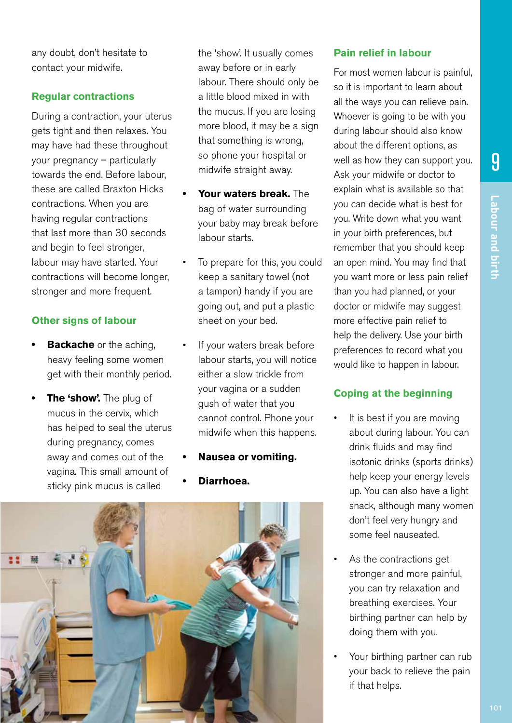Labour and birth **Labour and birth**

9

any doubt, don't hesitate to contact your midwife.

## **Regular contractions**

During a contraction, your uterus gets tight and then relaxes. You may have had these throughout your pregnancy – particularly towards the end. Before labour, these are called Braxton Hicks contractions. When you are having regular contractions that last more than 30 seconds and begin to feel stronger, labour may have started. Your contractions will become longer, stronger and more frequent.

## **Other signs of labour**

- **Backache** or the aching, heavy feeling some women get with their monthly period.
- **• The 'show'.** The plug of mucus in the cervix, which has helped to seal the uterus during pregnancy, comes away and comes out of the vagina. This small amount of sticky pink mucus is called

the 'show'. It usually comes away before or in early labour. There should only be a little blood mixed in with the mucus. If you are losing more blood, it may be a sign that something is wrong, so phone your hospital or midwife straight away.

- **• Your waters break.** The bag of water surrounding your baby may break before labour starts.
- To prepare for this, you could keep a sanitary towel (not a tampon) handy if you are going out, and put a plastic sheet on your bed.
- If your waters break before labour starts, you will notice either a slow trickle from your vagina or a sudden gush of water that you cannot control. Phone your midwife when this happens.
- **• Nausea or vomiting.**
- **• Diarrhoea.**



## **Pain relief in labour**

For most women labour is painful, so it is important to learn about all the ways you can relieve pain. Whoever is going to be with you during labour should also know about the different options, as well as how they can support you. Ask your midwife or doctor to explain what is available so that you can decide what is best for you. Write down what you want in your birth preferences, but remember that you should keep an open mind. You may find that you want more or less pain relief than you had planned, or your doctor or midwife may suggest more effective pain relief to help the delivery. Use your birth preferences to record what you would like to happen in labour.

## **Coping at the beginning**

- It is best if you are moving about during labour. You can drink fluids and may find isotonic drinks (sports drinks) help keep your energy levels up. You can also have a light snack, although many women don't feel very hungry and some feel nauseated.
- As the contractions get stronger and more painful, you can try relaxation and breathing exercises. Your birthing partner can help by doing them with you.
- Your birthing partner can rub your back to relieve the pain if that helps.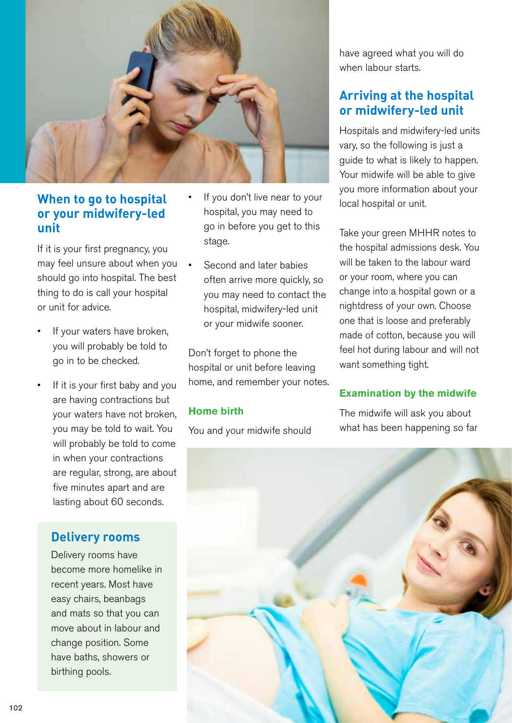![](_page_3_Picture_0.jpeg)

# **When to go to hospital or your midwifery-led unit**

If it is your first pregnancy, you may feel unsure about when you should go into hospital. The best thing to do is call your hospital or unit for advice.

- If your waters have broken, you will probably be told to go in to be checked.
- If it is your first baby and you are having contractions but your waters have not broken, you may be told to wait. You will probably be told to come in when your contractions are regular, strong, are about five minutes apart and are lasting about 60 seconds.

# **Delivery rooms**

Delivery rooms have become more homelike in recent years. Most have easy chairs, beanbags and mats so that you can move about in labour and change position. Some have baths, showers or birthing pools.

- If you don't live near to your hospital, you may need to go in before you get to this stage.
- Second and later babies often arrive more quickly, so you may need to contact the hospital, midwifery-led unit or your midwife sooner.

Don't forget to phone the hospital or unit before leaving home, and remember your notes.

## **Home birth**

You and your midwife should

have agreed what you will do when labour starts.

# **Arriving at the hospital or midwifery-led unit**

Hospitals and midwifery-led units vary, so the following is just a guide to what is likely to happen. Your midwife will be able to give you more information about your local hospital or unit.

Take your green MHHR notes to the hospital admissions desk. You will be taken to the labour ward or your room, where you can change into a hospital gown or a nightdress of your own. Choose one that is loose and preferably made of cotton, because you will feel hot during labour and will not want something tight.

# **Examination by the midwife**

The midwife will ask you about what has been happening so far

![](_page_3_Picture_18.jpeg)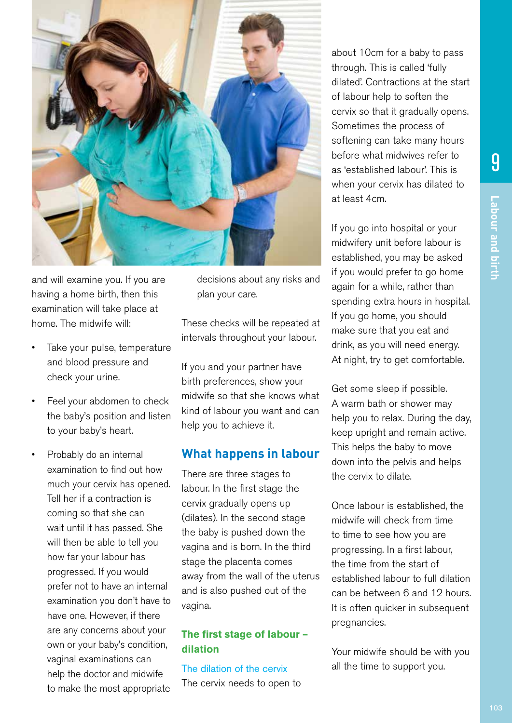![](_page_4_Picture_2.jpeg)

and will examine you. If you are having a home birth, then this examination will take place at home. The midwife will:

- Take your pulse, temperature and blood pressure and check your urine.
- Feel your abdomen to check the baby's position and listen to your baby's heart.
- Probably do an internal examination to find out how much your cervix has opened. Tell her if a contraction is coming so that she can wait until it has passed. She will then be able to tell you how far your labour has progressed. If you would prefer not to have an internal examination you don't have to have one. However, if there are any concerns about your own or your baby's condition, vaginal examinations can help the doctor and midwife to make the most appropriate

decisions about any risks and plan your care.

These checks will be repeated at intervals throughout your labour.

If you and your partner have birth preferences, show your midwife so that she knows what kind of labour you want and can help you to achieve it.

# **What happens in labour**

There are three stages to labour. In the first stage the cervix gradually opens up (dilates). In the second stage the baby is pushed down the vagina and is born. In the third stage the placenta comes away from the wall of the uterus and is also pushed out of the vagina.

## **The first stage of labour – dilation**

The dilation of the cervix The cervix needs to open to

about 10cm for a baby to pass through. This is called 'fully dilated'. Contractions at the start of labour help to soften the cervix so that it gradually opens. Sometimes the process of softening can take many hours before what midwives refer to as 'established labour'. This is when your cervix has dilated to at least 4cm.

If you go into hospital or your midwifery unit before labour is established, you may be asked if you would prefer to go home again for a while, rather than spending extra hours in hospital. If you go home, you should make sure that you eat and drink, as you will need energy. At night, try to get comfortable.

Get some sleep if possible. A warm bath or shower may help you to relax. During the day, keep upright and remain active. This helps the baby to move down into the pelvis and helps the cervix to dilate.

Once labour is established, the midwife will check from time to time to see how you are progressing. In a first labour, the time from the start of established labour to full dilation can be between 6 and 12 hours. It is often quicker in subsequent pregnancies.

Your midwife should be with you all the time to support you.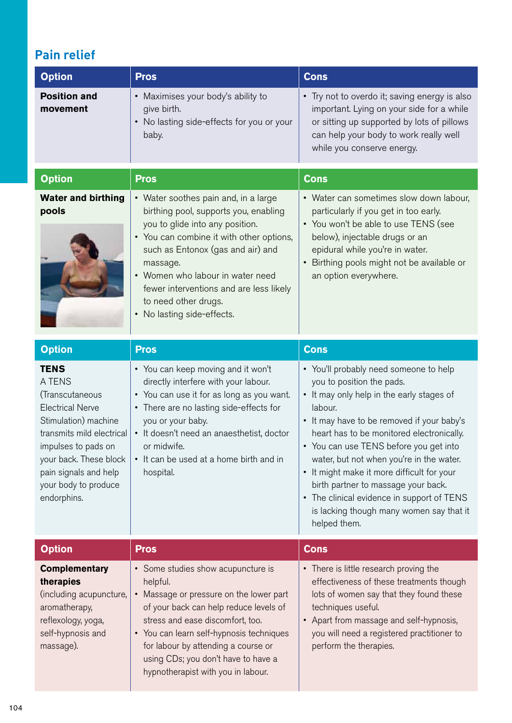# **Pain relief**

| <b>Option</b>                                                                                                                                                                                                                             | <b>Pros</b>                                                                                                                                                                                                                                                                                                                                        | <b>Cons</b>                                                                                                                                                                                                                                                                                                                                                                                                                                                                                           |
|-------------------------------------------------------------------------------------------------------------------------------------------------------------------------------------------------------------------------------------------|----------------------------------------------------------------------------------------------------------------------------------------------------------------------------------------------------------------------------------------------------------------------------------------------------------------------------------------------------|-------------------------------------------------------------------------------------------------------------------------------------------------------------------------------------------------------------------------------------------------------------------------------------------------------------------------------------------------------------------------------------------------------------------------------------------------------------------------------------------------------|
| <b>Position and</b><br>movement                                                                                                                                                                                                           | • Maximises your body's ability to<br>give birth.<br>• No lasting side-effects for you or your<br>baby.                                                                                                                                                                                                                                            | • Try not to overdo it; saving energy is also<br>important. Lying on your side for a while<br>or sitting up supported by lots of pillows<br>can help your body to work really well<br>while you conserve energy.                                                                                                                                                                                                                                                                                      |
| <b>Option</b>                                                                                                                                                                                                                             | <b>Pros</b>                                                                                                                                                                                                                                                                                                                                        | <b>Cons</b>                                                                                                                                                                                                                                                                                                                                                                                                                                                                                           |
| <b>Water and birthing</b><br>pools                                                                                                                                                                                                        | • Water soothes pain and, in a large<br>birthing pool, supports you, enabling<br>you to glide into any position.<br>• You can combine it with other options,<br>such as Entonox (gas and air) and<br>massage.<br>• Women who labour in water need<br>fewer interventions and are less likely<br>to need other drugs.<br>• No lasting side-effects. | • Water can sometimes slow down labour,<br>particularly if you get in too early.<br>• You won't be able to use TENS (see<br>below), injectable drugs or an<br>epidural while you're in water.<br>Birthing pools might not be available or<br>$\bullet$<br>an option everywhere.                                                                                                                                                                                                                       |
| <b>Option</b>                                                                                                                                                                                                                             | <b>Pros</b>                                                                                                                                                                                                                                                                                                                                        | <b>Cons</b>                                                                                                                                                                                                                                                                                                                                                                                                                                                                                           |
| <b>TENS</b><br>A TENS<br>(Transcutaneous<br><b>Electrical Nerve</b><br>Stimulation) machine<br>transmits mild electrical<br>impulses to pads on<br>your back. These block<br>pain signals and help<br>your body to produce<br>endorphins. | • You can keep moving and it won't<br>directly interfere with your labour.<br>• You can use it for as long as you want.<br>• There are no lasting side-effects for<br>you or your baby.<br>• It doesn't need an anaesthetist, doctor<br>or midwife.<br>• It can be used at a home birth and in<br>hospital.                                        | • You'll probably need someone to help<br>you to position the pads.<br>• It may only help in the early stages of<br>labour.<br>It may have to be removed if your baby's<br>heart has to be monitored electronically.<br>• You can use TENS before you get into<br>water, but not when you're in the water.<br>It might make it more difficult for your<br>birth partner to massage your back.<br>The clinical evidence in support of TENS<br>is lacking though many women say that it<br>helped them. |
| <b>Option</b>                                                                                                                                                                                                                             | <b>Pros</b>                                                                                                                                                                                                                                                                                                                                        | <b>Cons</b>                                                                                                                                                                                                                                                                                                                                                                                                                                                                                           |
| <b>Complementary</b><br>therapies<br>(including acupuncture,<br>aromatherapy,<br>reflexology, yoga,<br>self-hypnosis and<br>massage).                                                                                                     | • Some studies show acupuncture is<br>helpful.<br>• Massage or pressure on the lower part<br>of your back can help reduce levels of<br>stress and ease discomfort, too.<br>• You can learn self-hypnosis techniques<br>for labour by attending a course or<br>using CDs; you don't have to have a<br>hypnotherapist with you in labour.            | • There is little research proving the<br>effectiveness of these treatments though<br>lots of women say that they found these<br>techniques useful.<br>Apart from massage and self-hypnosis,<br>you will need a registered practitioner to<br>perform the therapies.                                                                                                                                                                                                                                  |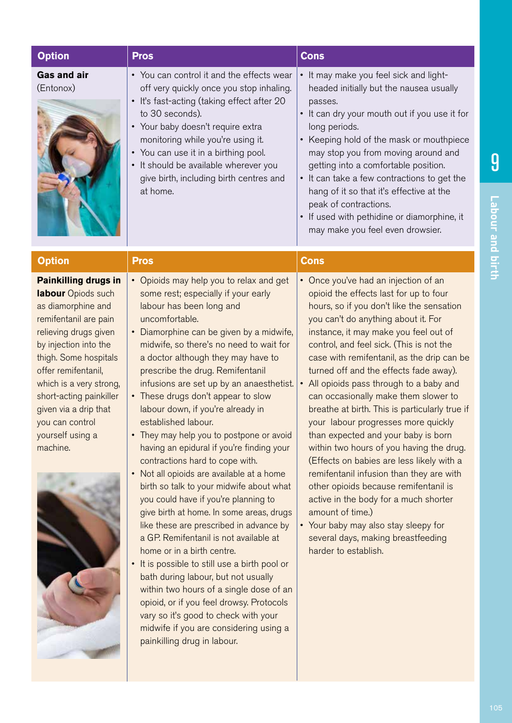| <b>Option</b>                                                                                                                                                                                                                                                                                                                        | <b>Pros</b>                                                                                                                                                                                                                                                                                                                                                                                                                                                                                                                                                                                                                                                                                                                                                                                                                                                                                                                                                                                                                                                                                                                                                     | <b>Cons</b>                                                                                                                                                                                                                                                                                                                                                                                                                                                                                                                                                                                                                                                                                                                                                                                                                                                                                                        |
|--------------------------------------------------------------------------------------------------------------------------------------------------------------------------------------------------------------------------------------------------------------------------------------------------------------------------------------|-----------------------------------------------------------------------------------------------------------------------------------------------------------------------------------------------------------------------------------------------------------------------------------------------------------------------------------------------------------------------------------------------------------------------------------------------------------------------------------------------------------------------------------------------------------------------------------------------------------------------------------------------------------------------------------------------------------------------------------------------------------------------------------------------------------------------------------------------------------------------------------------------------------------------------------------------------------------------------------------------------------------------------------------------------------------------------------------------------------------------------------------------------------------|--------------------------------------------------------------------------------------------------------------------------------------------------------------------------------------------------------------------------------------------------------------------------------------------------------------------------------------------------------------------------------------------------------------------------------------------------------------------------------------------------------------------------------------------------------------------------------------------------------------------------------------------------------------------------------------------------------------------------------------------------------------------------------------------------------------------------------------------------------------------------------------------------------------------|
| <b>Gas and air</b><br>(Entonox)                                                                                                                                                                                                                                                                                                      | • You can control it and the effects wear<br>off very quickly once you stop inhaling.<br>• It's fast-acting (taking effect after 20<br>to 30 seconds).<br>• Your baby doesn't require extra<br>monitoring while you're using it.<br>• You can use it in a birthing pool.<br>• It should be available wherever you<br>give birth, including birth centres and<br>at home.                                                                                                                                                                                                                                                                                                                                                                                                                                                                                                                                                                                                                                                                                                                                                                                        | It may make you feel sick and light-<br>$\bullet$<br>headed initially but the nausea usually<br>passes.<br>• It can dry your mouth out if you use it for<br>long periods.<br>Keeping hold of the mask or mouthpiece<br>$\bullet$<br>may stop you from moving around and<br>getting into a comfortable position.<br>It can take a few contractions to get the<br>hang of it so that it's effective at the<br>peak of contractions.<br>• If used with pethidine or diamorphine, it<br>may make you feel even drowsier.                                                                                                                                                                                                                                                                                                                                                                                               |
| <b>Option</b>                                                                                                                                                                                                                                                                                                                        | <b>Pros</b>                                                                                                                                                                                                                                                                                                                                                                                                                                                                                                                                                                                                                                                                                                                                                                                                                                                                                                                                                                                                                                                                                                                                                     | <b>Cons</b>                                                                                                                                                                                                                                                                                                                                                                                                                                                                                                                                                                                                                                                                                                                                                                                                                                                                                                        |
| <b>Painkilling drugs in</b><br>labour Opiods such<br>as diamorphine and<br>remifentanil are pain<br>relieving drugs given<br>by injection into the<br>thigh. Some hospitals<br>offer remifentanil,<br>which is a very strong,<br>short-acting painkiller<br>given via a drip that<br>you can control<br>yourself using a<br>machine. | • Opioids may help you to relax and get<br>some rest; especially if your early<br>labour has been long and<br>uncomfortable.<br>Diamorphine can be given by a midwife,<br>midwife, so there's no need to wait for<br>a doctor although they may have to<br>prescribe the drug. Remifentanil<br>infusions are set up by an anaesthetist.<br>• These drugs don't appear to slow<br>labour down, if you're already in<br>established labour.<br>They may help you to postpone or avoid<br>having an epidural if you're finding your<br>contractions hard to cope with.<br>Not all opioids are available at a home<br>birth so talk to your midwife about what<br>you could have if you're planning to<br>give birth at home. In some areas, drugs<br>like these are prescribed in advance by<br>a GP. Remifentanil is not available at<br>home or in a birth centre.<br>It is possible to still use a birth pool or<br>bath during labour, but not usually<br>within two hours of a single dose of an<br>opioid, or if you feel drowsy. Protocols<br>vary so it's good to check with your<br>midwife if you are considering using a<br>painkilling drug in labour. | • Once you've had an injection of an<br>opioid the effects last for up to four<br>hours, so if you don't like the sensation<br>you can't do anything about it. For<br>instance, it may make you feel out of<br>control, and feel sick. (This is not the<br>case with remifentanil, as the drip can be<br>turned off and the effects fade away).<br>All opioids pass through to a baby and<br>can occasionally make them slower to<br>breathe at birth. This is particularly true if<br>your labour progresses more quickly<br>than expected and your baby is born<br>within two hours of you having the drug.<br>(Effects on babies are less likely with a<br>remifentanil infusion than they are with<br>other opioids because remifentanil is<br>active in the body for a much shorter<br>amount of time.)<br>• Your baby may also stay sleepy for<br>several days, making breastfeeding<br>harder to establish. |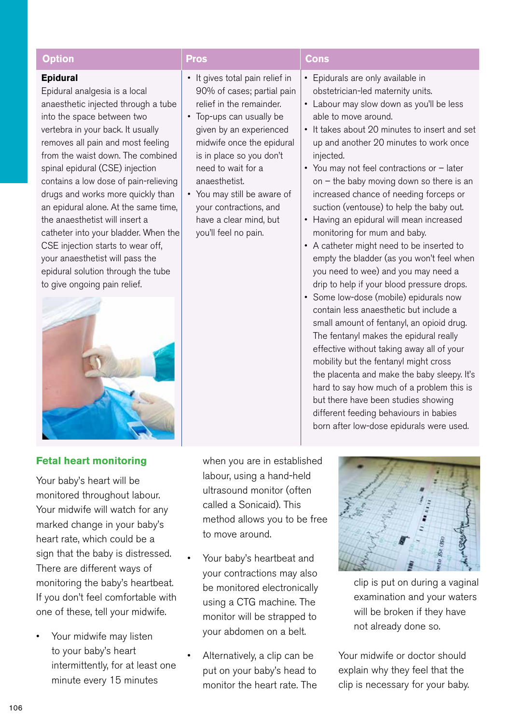| <b>Option</b>                                                                                                                                                                                                                                                                                                                                                                                                                                                                                                                                                                                                         | <b>Pros</b>                                                                                                                                                                                                                                                                                                                                                 | <b>Cons</b>                                                                                                                                                                                                                                                                                                                                                                                                                                                                                                                                                                                                                                                                                                                                                                                                                                                                                                                                                                                                                                                                                                    |
|-----------------------------------------------------------------------------------------------------------------------------------------------------------------------------------------------------------------------------------------------------------------------------------------------------------------------------------------------------------------------------------------------------------------------------------------------------------------------------------------------------------------------------------------------------------------------------------------------------------------------|-------------------------------------------------------------------------------------------------------------------------------------------------------------------------------------------------------------------------------------------------------------------------------------------------------------------------------------------------------------|----------------------------------------------------------------------------------------------------------------------------------------------------------------------------------------------------------------------------------------------------------------------------------------------------------------------------------------------------------------------------------------------------------------------------------------------------------------------------------------------------------------------------------------------------------------------------------------------------------------------------------------------------------------------------------------------------------------------------------------------------------------------------------------------------------------------------------------------------------------------------------------------------------------------------------------------------------------------------------------------------------------------------------------------------------------------------------------------------------------|
| <b>Epidural</b><br>Epidural analgesia is a local<br>anaesthetic injected through a tube<br>into the space between two<br>vertebra in your back. It usually<br>removes all pain and most feeling<br>from the waist down. The combined<br>spinal epidural (CSE) injection<br>contains a low dose of pain-relieving<br>drugs and works more quickly than<br>an epidural alone. At the same time,<br>the anaesthetist will insert a<br>catheter into your bladder. When the<br>CSE injection starts to wear off,<br>your anaesthetist will pass the<br>epidural solution through the tube<br>to give ongoing pain relief. | • It gives total pain relief in<br>90% of cases; partial pain<br>relief in the remainder.<br>• Top-ups can usually be<br>given by an experienced<br>midwife once the epidural<br>is in place so you don't<br>need to wait for a<br>anaesthetist.<br>• You may still be aware of<br>your contractions, and<br>have a clear mind, but<br>you'll feel no pain. | Epidurals are only available in<br>$\bullet$<br>obstetrician-led maternity units.<br>• Labour may slow down as you'll be less<br>able to move around.<br>• It takes about 20 minutes to insert and set<br>up and another 20 minutes to work once<br>injected.<br>• You may not feel contractions or - later<br>on $-$ the baby moving down so there is an<br>increased chance of needing forceps or<br>suction (ventouse) to help the baby out.<br>• Having an epidural will mean increased<br>monitoring for mum and baby.<br>• A catheter might need to be inserted to<br>empty the bladder (as you won't feel when<br>you need to wee) and you may need a<br>drip to help if your blood pressure drops.<br>• Some low-dose (mobile) epidurals now<br>contain less anaesthetic but include a<br>small amount of fentanyl, an opioid drug.<br>The fentanyl makes the epidural really<br>effective without taking away all of your<br>mobility but the fentanyl might cross<br>the placenta and make the baby sleepy. It's<br>hard to say how much of a problem this is<br>but there have been studies showing |

## **Fetal heart monitoring**

Your baby's heart will be monitored throughout labour. Your midwife will watch for any marked change in your baby's heart rate, which could be a sign that the baby is distressed. There are different ways of monitoring the baby's heartbeat. If you don't feel comfortable with one of these, tell your midwife.

Your midwife may listen to your baby's heart intermittently, for at least one minute every 15 minutes

when you are in established labour, using a hand-held ultrasound monitor (often called a Sonicaid). This method allows you to be free to move around.

- Your baby's heartbeat and your contractions may also be monitored electronically using a CTG machine. The monitor will be strapped to your abdomen on a belt.
- Alternatively, a clip can be put on your baby's head to monitor the heart rate. The

![](_page_7_Figure_7.jpeg)

 different feeding behaviours in babies born after low-dose epidurals were used.

> clip is put on during a vaginal examination and your waters will be broken if they have not already done so.

Your midwife or doctor should explain why they feel that the clip is necessary for your baby.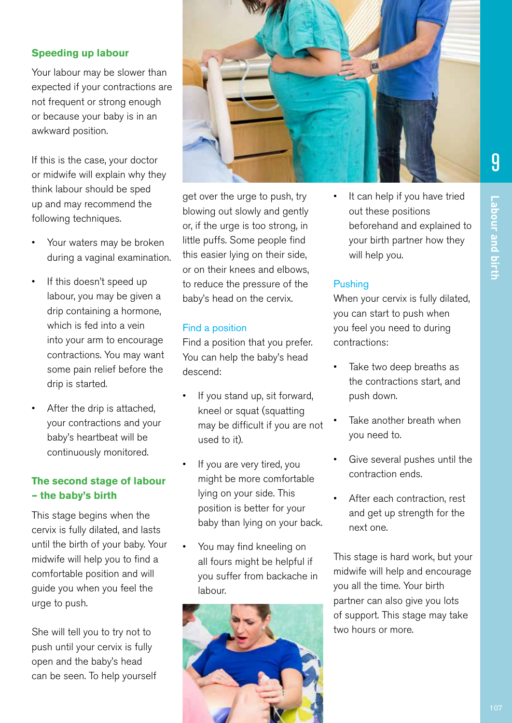## **Speeding up labour**

Your labour may be slower than expected if your contractions are not frequent or strong enough or because your baby is in an awkward position.

If this is the case, your doctor or midwife will explain why they think labour should be sped up and may recommend the following techniques.

- Your waters may be broken during a vaginal examination.
- If this doesn't speed up labour, you may be given a drip containing a hormone, which is fed into a vein into your arm to encourage contractions. You may want some pain relief before the drip is started.
- After the drip is attached, your contractions and your baby's heartbeat will be continuously monitored.

## **The second stage of labour – the baby's birth**

This stage begins when the cervix is fully dilated, and lasts until the birth of your baby. Your midwife will help you to find a comfortable position and will guide you when you feel the urge to push.

She will tell you to try not to push until your cervix is fully open and the baby's head can be seen. To help yourself

![](_page_8_Picture_9.jpeg)

get over the urge to push, try blowing out slowly and gently or, if the urge is too strong, in little puffs. Some people find this easier lying on their side, or on their knees and elbows, to reduce the pressure of the baby's head on the cervix.

## Find a position

Find a position that you prefer. You can help the baby's head descend:

- If you stand up, sit forward, kneel or squat (squatting may be difficult if you are not used to it).
- If you are very tired, you might be more comfortable lying on your side. This position is better for your baby than lying on your back.
- You may find kneeling on all fours might be helpful if you suffer from backache in labour.

![](_page_8_Picture_16.jpeg)

It can help if you have tried out these positions beforehand and explained to your birth partner how they will help you.

## **Pushing**

When your cervix is fully dilated, you can start to push when you feel you need to during contractions:

- Take two deep breaths as the contractions start, and push down.
- Take another breath when you need to.
- Give several pushes until the contraction ends.
- After each contraction, rest and get up strength for the next one.

This stage is hard work, but your midwife will help and encourage you all the time. Your birth partner can also give you lots of support. This stage may take two hours or more.

9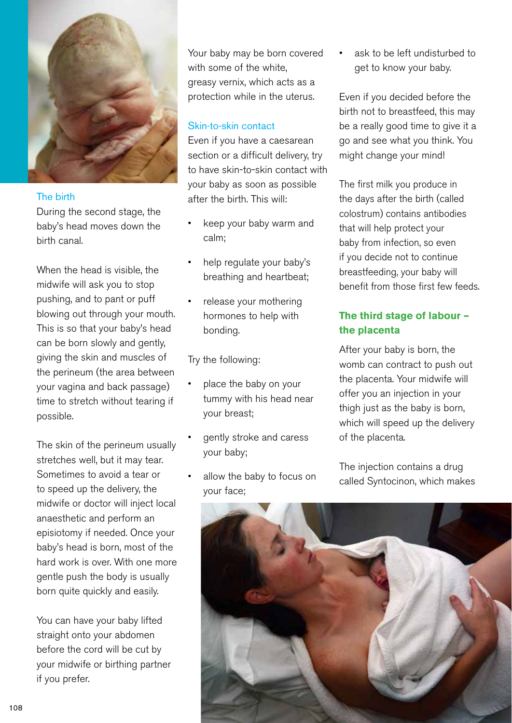![](_page_9_Picture_0.jpeg)

## The birth

During the second stage, the baby's head moves down the birth canal.

When the head is visible, the midwife will ask you to stop pushing, and to pant or puff blowing out through your mouth. This is so that your baby's head can be born slowly and gently, giving the skin and muscles of the perineum (the area between your vagina and back passage) time to stretch without tearing if possible.

The skin of the perineum usually stretches well, but it may tear. Sometimes to avoid a tear or to speed up the delivery, the midwife or doctor will inject local anaesthetic and perform an episiotomy if needed. Once your baby's head is born, most of the hard work is over. With one more gentle push the body is usually born quite quickly and easily.

You can have your baby lifted straight onto your abdomen before the cord will be cut by your midwife or birthing partner if you prefer.

Your baby may be born covered with some of the white, greasy vernix, which acts as a protection while in the uterus.

## Skin-to-skin contact

Even if you have a caesarean section or a difficult delivery, try to have skin-to-skin contact with your baby as soon as possible after the birth. This will:

- keep your baby warm and calm;
- help regulate your baby's breathing and heartbeat;
- release your mothering hormones to help with bonding.

Try the following:

- place the baby on your tummy with his head near your breast;
- gently stroke and caress your baby;
- allow the baby to focus on your face;

ask to be left undisturbed to get to know your baby.

Even if you decided before the birth not to breastfeed, this may be a really good time to give it a go and see what you think. You might change your mind!

The first milk you produce in the days after the birth (called colostrum) contains antibodies that will help protect your baby from infection, so even if you decide not to continue breastfeeding, your baby will benefit from those first few feeds.

# **The third stage of labour – the placenta**

After your baby is born, the womb can contract to push out the placenta. Your midwife will offer you an injection in your thigh just as the baby is born, which will speed up the delivery of the placenta.

The injection contains a drug called Syntocinon, which makes

![](_page_9_Picture_22.jpeg)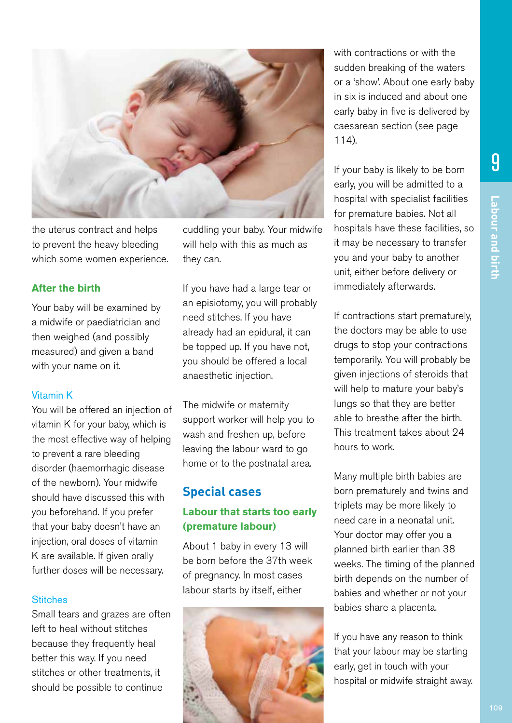![](_page_10_Picture_1.jpeg)

the uterus contract and helps to prevent the heavy bleeding which some women experience. cuddling your baby. Your midwife will help with this as much as they can.

## **After the birth**

Your baby will be examined by a midwife or paediatrician and then weighed (and possibly measured) and given a band with your name on it.

#### Vitamin K

You will be offered an injection of vitamin K for your baby, which is the most effective way of helping to prevent a rare bleeding disorder (haemorrhagic disease of the newborn). Your midwife should have discussed this with you beforehand. If you prefer that your baby doesn't have an injection, oral doses of vitamin K are available. If given orally further doses will be necessary.

#### **Stitches**

Small tears and grazes are often left to heal without stitches because they frequently heal better this way. If you need stitches or other treatments, it should be possible to continue

If you have had a large tear or an episiotomy, you will probably need stitches. If you have already had an epidural, it can be topped up. If you have not, you should be offered a local anaesthetic injection.

The midwife or maternity support worker will help you to wash and freshen up, before leaving the labour ward to go home or to the postnatal area.

## **Special cases**

# **Labour that starts too early (premature labour)**

About 1 baby in every 13 will be born before the 37th week of pregnancy. In most cases labour starts by itself, either

![](_page_10_Picture_15.jpeg)

with contractions or with the sudden breaking of the waters or a 'show'. About one early baby in six is induced and about one early baby in five is delivered by caesarean section (see page 114).

If your baby is likely to be born early, you will be admitted to a hospital with specialist facilities for premature babies. Not all hospitals have these facilities, so it may be necessary to transfer you and your baby to another unit, either before delivery or immediately afterwards.

If contractions start prematurely, the doctors may be able to use drugs to stop your contractions temporarily. You will probably be given injections of steroids that will help to mature your baby's lungs so that they are better able to breathe after the birth. This treatment takes about 24 hours to work.

Many multiple birth babies are born prematurely and twins and triplets may be more likely to need care in a neonatal unit. Your doctor may offer you a planned birth earlier than 38 weeks. The timing of the planned birth depends on the number of babies and whether or not your babies share a placenta.

If you have any reason to think that your labour may be starting early, get in touch with your hospital or midwife straight away.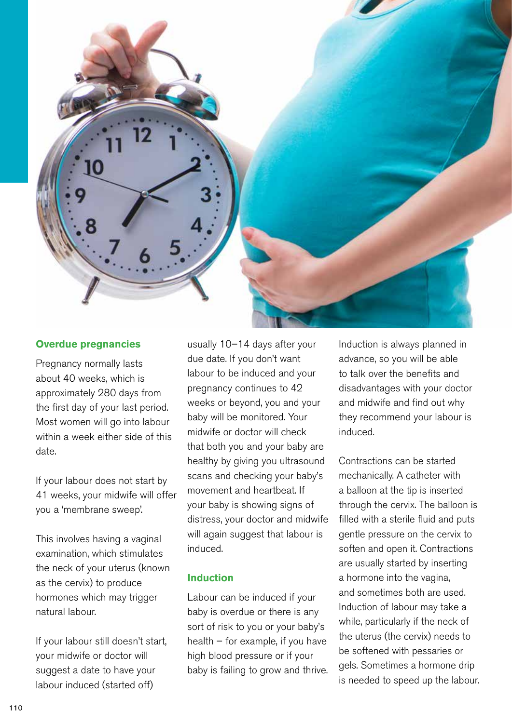![](_page_11_Picture_0.jpeg)

## **Overdue pregnancies**

Pregnancy normally lasts about 40 weeks, which is approximately 280 days from the first day of your last period. Most women will go into labour within a week either side of this date.

If your labour does not start by 41 weeks, your midwife will offer you a 'membrane sweep'.

This involves having a vaginal examination, which stimulates the neck of your uterus (known as the cervix) to produce hormones which may trigger natural labour.

If your labour still doesn't start, your midwife or doctor will suggest a date to have your labour induced (started off)

usually 10–14 days after your due date. If you don't want labour to be induced and your pregnancy continues to 42 weeks or beyond, you and your baby will be monitored. Your midwife or doctor will check that both you and your baby are healthy by giving you ultrasound scans and checking your baby's movement and heartbeat. If your baby is showing signs of distress, your doctor and midwife will again suggest that labour is induced.

## **Induction**

Labour can be induced if your baby is overdue or there is any sort of risk to you or your baby's health – for example, if you have high blood pressure or if your baby is failing to grow and thrive.

Induction is always planned in advance, so you will be able to talk over the benefits and disadvantages with your doctor and midwife and find out why they recommend your labour is induced.

Contractions can be started mechanically. A catheter with a balloon at the tip is inserted through the cervix. The balloon is filled with a sterile fluid and puts gentle pressure on the cervix to soften and open it. Contractions are usually started by inserting a hormone into the vagina, and sometimes both are used. Induction of labour may take a while, particularly if the neck of the uterus (the cervix) needs to be softened with pessaries or gels. Sometimes a hormone drip is needed to speed up the labour.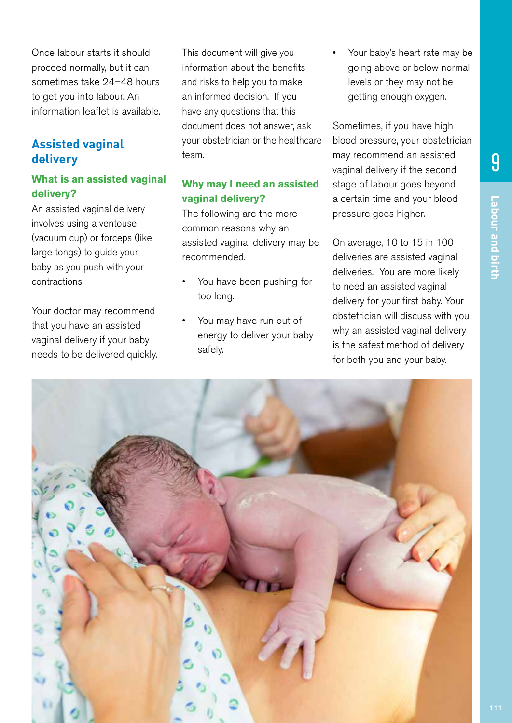Once labour starts it should proceed normally, but it can sometimes take 24–48 hours to get you into labour. An information leaflet is available.

# **Assisted vaginal delivery**

# **What is an assisted vaginal delivery?**

An assisted vaginal delivery involves using a ventouse (vacuum cup) or forceps (like large tongs) to guide your baby as you push with your contractions.

Your doctor may recommend that you have an assisted vaginal delivery if your baby needs to be delivered quickly. This document will give you information about the benefits and risks to help you to make an informed decision. If you have any questions that this document does not answer, ask your obstetrician or the healthcare team.

# **Why may I need an assisted vaginal delivery?**

The following are the more common reasons why an assisted vaginal delivery may be recommended.

- You have been pushing for too long.
- You may have run out of energy to deliver your baby safely.

Your baby's heart rate may be going above or below normal levels or they may not be getting enough oxygen.

Sometimes, if you have high blood pressure, your obstetrician may recommend an assisted vaginal delivery if the second stage of labour goes beyond a certain time and your blood pressure goes higher.

On average, 10 to 15 in 100 deliveries are assisted vaginal deliveries. You are more likely to need an assisted vaginal delivery for your first baby. Your obstetrician will discuss with you why an assisted vaginal delivery is the safest method of delivery for both you and your baby.

![](_page_12_Picture_15.jpeg)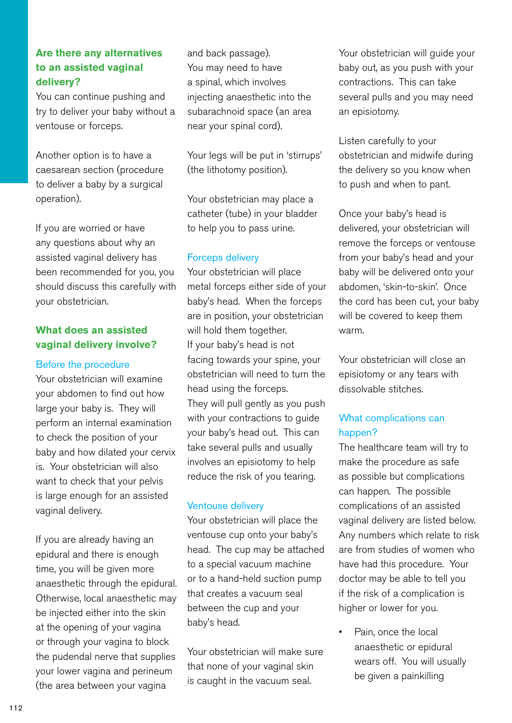# **Are there any alternatives to an assisted vaginal delivery?**

You can continue pushing and try to deliver your baby without a ventouse or forceps.

Another option is to have a caesarean section (procedure to deliver a baby by a surgical operation).

If you are worried or have any questions about why an assisted vaginal delivery has been recommended for you, you should discuss this carefully with your obstetrician.

## **What does an assisted vaginal delivery involve?**

## Before the procedure

Your obstetrician will examine your abdomen to find out how large your baby is. They will perform an internal examination to check the position of your baby and how dilated your cervix is. Your obstetrician will also want to check that your pelvis is large enough for an assisted vaginal delivery.

If you are already having an epidural and there is enough time, you will be given more anaesthetic through the epidural. Otherwise, local anaesthetic may be injected either into the skin at the opening of your vagina or through your vagina to block the pudendal nerve that supplies your lower vagina and perineum (the area between your vagina

and back passage). You may need to have a spinal, which involves injecting anaesthetic into the subarachnoid space (an area near your spinal cord).

Your legs will be put in 'stirrups' (the lithotomy position).

Your obstetrician may place a catheter (tube) in your bladder to help you to pass urine.

## Forceps delivery

Your obstetrician will place metal forceps either side of your baby's head. When the forceps are in position, your obstetrician will hold them together. If your baby's head is not facing towards your spine, your obstetrician will need to turn the head using the forceps. They will pull gently as you push with your contractions to guide your baby's head out. This can take several pulls and usually involves an episiotomy to help reduce the risk of you tearing.

## Ventouse delivery

Your obstetrician will place the ventouse cup onto your baby's head. The cup may be attached to a special vacuum machine or to a hand-held suction pump that creates a vacuum seal between the cup and your baby's head.

Your obstetrician will make sure that none of your vaginal skin is caught in the vacuum seal.

Your obstetrician will guide your baby out, as you push with your contractions. This can take several pulls and you may need an episiotomy.

Listen carefully to your obstetrician and midwife during the delivery so you know when to push and when to pant.

Once your baby's head is delivered, your obstetrician will remove the forceps or ventouse from your baby's head and your baby will be delivered onto your abdomen, 'skin-to-skin'. Once the cord has been cut, your baby will be covered to keep them warm.

Your obstetrician will close an episiotomy or any tears with dissolvable stitches.

# What complications can happen?

The healthcare team will try to make the procedure as safe as possible but complications can happen. The possible complications of an assisted vaginal delivery are listed below. Any numbers which relate to risk are from studies of women who have had this procedure. Your doctor may be able to tell you if the risk of a complication is higher or lower for you.

Pain, once the local anaesthetic or epidural wears off. You will usually be given a painkilling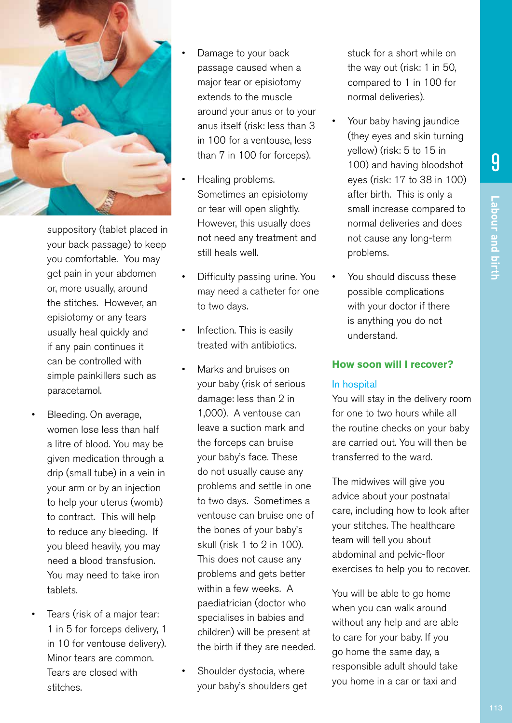![](_page_14_Picture_1.jpeg)

suppository (tablet placed in your back passage) to keep you comfortable. You may get pain in your abdomen or, more usually, around the stitches. However, an episiotomy or any tears usually heal quickly and if any pain continues it can be controlled with simple painkillers such as paracetamol.

- Bleeding. On average, women lose less than half a litre of blood. You may be given medication through a drip (small tube) in a vein in your arm or by an injection to help your uterus (womb) to contract. This will help to reduce any bleeding. If you bleed heavily, you may need a blood transfusion. You may need to take iron tablets.
- Tears (risk of a major tear: 1 in 5 for forceps delivery, 1 in 10 for ventouse delivery). Minor tears are common. Tears are closed with stitches.
- Damage to your back passage caused when a major tear or episiotomy extends to the muscle around your anus or to your anus itself (risk: less than 3 in 100 for a ventouse, less than 7 in 100 for forceps).
- Healing problems. Sometimes an episiotomy or tear will open slightly. However, this usually does not need any treatment and still heals well.
- Difficulty passing urine. You may need a catheter for one to two days.
- Infection. This is easily treated with antibiotics.
- Marks and bruises on your baby (risk of serious damage: less than 2 in 1,000). A ventouse can leave a suction mark and the forceps can bruise your baby's face. These do not usually cause any problems and settle in one to two days. Sometimes a ventouse can bruise one of the bones of your baby's skull (risk 1 to 2 in 100). This does not cause any problems and gets better within a few weeks. A paediatrician (doctor who specialises in babies and children) will be present at the birth if they are needed.
- Shoulder dystocia, where your baby's shoulders get

stuck for a short while on the way out (risk: 1 in 50, compared to 1 in 100 for normal deliveries).

- Your baby having jaundice (they eyes and skin turning yellow) (risk: 5 to 15 in 100) and having bloodshot eyes (risk: 17 to 38 in 100) after birth. This is only a small increase compared to normal deliveries and does not cause any long-term problems.
- You should discuss these possible complications with your doctor if there is anything you do not understand.

## **How soon will I recover?**

## In hospital

You will stay in the delivery room for one to two hours while all the routine checks on your baby are carried out. You will then be transferred to the ward.

The midwives will give you advice about your postnatal care, including how to look after your stitches. The healthcare team will tell you about abdominal and pelvic-floor exercises to help you to recover.

You will be able to go home when you can walk around without any help and are able to care for your baby. If you go home the same day, a responsible adult should take you home in a car or taxi and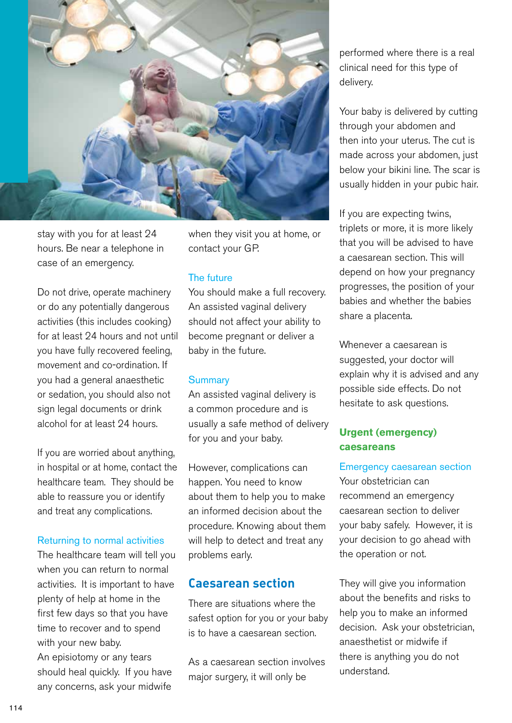![](_page_15_Picture_0.jpeg)

stay with you for at least 24 hours. Be near a telephone in case of an emergency.

Do not drive, operate machinery or do any potentially dangerous activities (this includes cooking) for at least 24 hours and not until you have fully recovered feeling, movement and co-ordination. If you had a general anaesthetic or sedation, you should also not sign legal documents or drink alcohol for at least 24 hours.

If you are worried about anything, in hospital or at home, contact the healthcare team. They should be able to reassure you or identify and treat any complications.

## Returning to normal activities

The healthcare team will tell you when you can return to normal activities. It is important to have plenty of help at home in the first few days so that you have time to recover and to spend with your new baby. An episiotomy or any tears should heal quickly. If you have any concerns, ask your midwife

when they visit you at home, or contact your GP.

#### The future

You should make a full recovery. An assisted vaginal delivery should not affect your ability to become pregnant or deliver a baby in the future.

#### **Summary**

An assisted vaginal delivery is a common procedure and is usually a safe method of delivery for you and your baby.

However, complications can happen. You need to know about them to help you to make an informed decision about the procedure. Knowing about them will help to detect and treat any problems early.

## **Caesarean section**

There are situations where the safest option for you or your baby is to have a caesarean section.

As a caesarean section involves major surgery, it will only be

performed where there is a real clinical need for this type of delivery.

Your baby is delivered by cutting through your abdomen and then into your uterus. The cut is made across your abdomen, just below your bikini line. The scar is usually hidden in your pubic hair.

If you are expecting twins, triplets or more, it is more likely that you will be advised to have a caesarean section. This will depend on how your pregnancy progresses, the position of your babies and whether the babies share a placenta.

Whenever a caesarean is suggested, your doctor will explain why it is advised and any possible side effects. Do not hesitate to ask questions.

## **Urgent (emergency) caesareans**

Emergency caesarean section Your obstetrician can recommend an emergency caesarean section to deliver your baby safely. However, it is your decision to go ahead with the operation or not.

They will give you information about the benefits and risks to help you to make an informed decision. Ask your obstetrician, anaesthetist or midwife if there is anything you do not understand.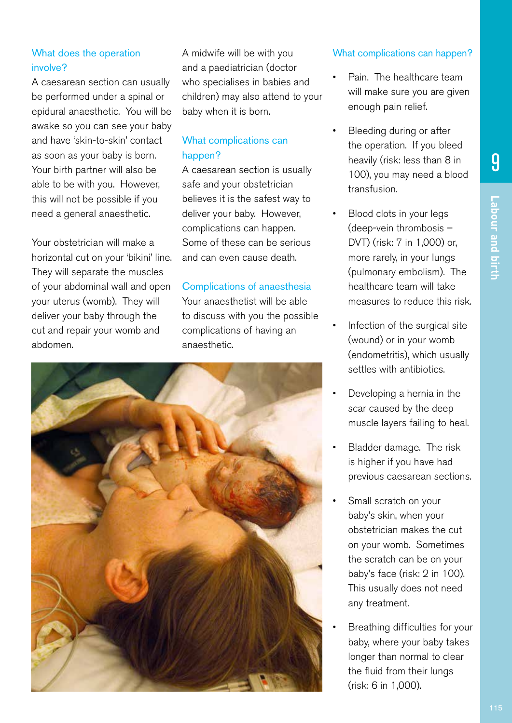# What does the operation involve?

A caesarean section can usually be performed under a spinal or epidural anaesthetic. You will be awake so you can see your baby and have 'skin-to-skin' contact as soon as your baby is born. Your birth partner will also be able to be with you. However, this will not be possible if you need a general anaesthetic.

Your obstetrician will make a horizontal cut on your 'bikini' line. They will separate the muscles of your abdominal wall and open your uterus (womb). They will deliver your baby through the cut and repair your womb and abdomen.

A midwife will be with you and a paediatrician (doctor who specialises in babies and children) may also attend to your baby when it is born.

# What complications can happen?

A caesarean section is usually safe and your obstetrician believes it is the safest way to deliver your baby. However, complications can happen. Some of these can be serious and can even cause death.

# Complications of anaesthesia

Your anaesthetist will be able to discuss with you the possible complications of having an anaesthetic.

![](_page_16_Picture_9.jpeg)

# What complications can happen?

- Pain. The healthcare team will make sure you are given enough pain relief.
- Bleeding during or after the operation. If you bleed heavily (risk: less than 8 in 100), you may need a blood transfusion.
- Blood clots in your legs (deep-vein thrombosis – DVT) (risk: 7 in 1,000) or, more rarely, in your lungs (pulmonary embolism). The healthcare team will take measures to reduce this risk.
- Infection of the surgical site (wound) or in your womb (endometritis), which usually settles with antibiotics.
- Developing a hernia in the scar caused by the deep muscle layers failing to heal.
- Bladder damage. The risk is higher if you have had previous caesarean sections.
- Small scratch on your baby's skin, when your obstetrician makes the cut on your womb. Sometimes the scratch can be on your baby's face (risk: 2 in 100). This usually does not need any treatment.
- Breathing difficulties for your baby, where your baby takes longer than normal to clear the fluid from their lungs (risk: 6 in 1,000).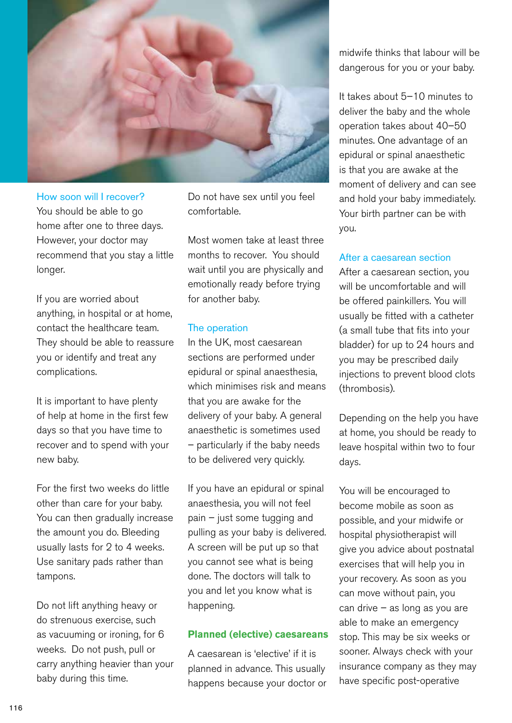![](_page_17_Picture_0.jpeg)

How soon will I recover? You should be able to go home after one to three days. However, your doctor may recommend that you stay a little longer.

If you are worried about anything, in hospital or at home, contact the healthcare team. They should be able to reassure you or identify and treat any complications.

It is important to have plenty of help at home in the first few days so that you have time to recover and to spend with your new baby.

For the first two weeks do little other than care for your baby. You can then gradually increase the amount you do. Bleeding usually lasts for 2 to 4 weeks. Use sanitary pads rather than tampons.

Do not lift anything heavy or do strenuous exercise, such as vacuuming or ironing, for 6 weeks. Do not push, pull or carry anything heavier than your baby during this time.

Do not have sex until you feel comfortable.

Most women take at least three months to recover. You should wait until you are physically and emotionally ready before trying for another baby.

## The operation

In the UK, most caesarean sections are performed under epidural or spinal anaesthesia, which minimises risk and means that you are awake for the delivery of your baby. A general anaesthetic is sometimes used – particularly if the baby needs to be delivered very quickly.

If you have an epidural or spinal anaesthesia, you will not feel pain – just some tugging and pulling as your baby is delivered. A screen will be put up so that you cannot see what is being done. The doctors will talk to you and let you know what is happening.

## **Planned (elective) caesareans**

A caesarean is 'elective' if it is planned in advance. This usually happens because your doctor or midwife thinks that labour will be dangerous for you or your baby.

It takes about 5–10 minutes to deliver the baby and the whole operation takes about 40–50 minutes. One advantage of an epidural or spinal anaesthetic is that you are awake at the moment of delivery and can see and hold your baby immediately. Your birth partner can be with you.

## After a caesarean section

After a caesarean section, you will be uncomfortable and will be offered painkillers. You will usually be fitted with a catheter (a small tube that fits into your bladder) for up to 24 hours and you may be prescribed daily injections to prevent blood clots (thrombosis).

Depending on the help you have at home, you should be ready to leave hospital within two to four days.

You will be encouraged to become mobile as soon as possible, and your midwife or hospital physiotherapist will give you advice about postnatal exercises that will help you in your recovery. As soon as you can move without pain, you can drive – as long as you are able to make an emergency stop. This may be six weeks or sooner. Always check with your insurance company as they may have specific post-operative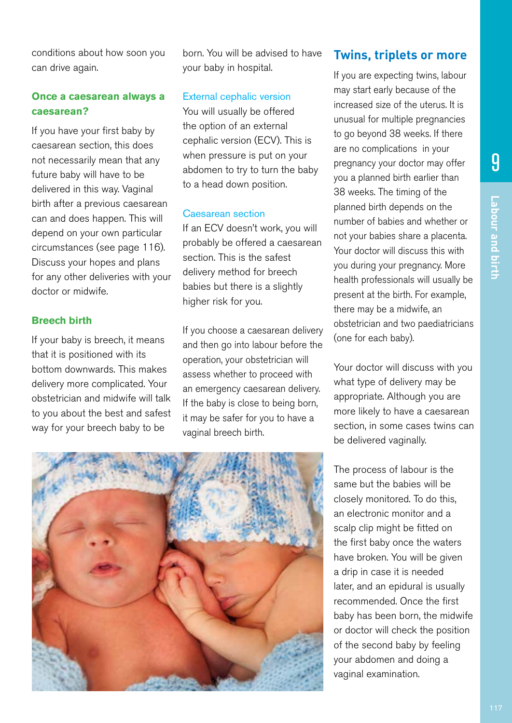conditions about how soon you can drive again.

## **Once a caesarean always a caesarean?**

If you have your first baby by caesarean section, this does not necessarily mean that any future baby will have to be delivered in this way. Vaginal birth after a previous caesarean can and does happen. This will depend on your own particular circumstances (see page 116). Discuss your hopes and plans for any other deliveries with your doctor or midwife.

## **Breech birth**

If your baby is breech, it means that it is positioned with its bottom downwards. This makes delivery more complicated. Your obstetrician and midwife will talk to you about the best and safest way for your breech baby to be

born. You will be advised to have your baby in hospital.

## External cephalic version

You will usually be offered the option of an external cephalic version (ECV). This is when pressure is put on your abdomen to try to turn the baby to a head down position.

## Caesarean section

If an ECV doesn't work, you will probably be offered a caesarean section. This is the safest delivery method for breech babies but there is a slightly higher risk for you.

If you choose a caesarean delivery and then go into labour before the operation, your obstetrician will assess whether to proceed with an emergency caesarean delivery. If the baby is close to being born, it may be safer for you to have a vaginal breech birth.

# **Twins, triplets or more**

If you are expecting twins, labour may start early because of the increased size of the uterus. It is unusual for multiple pregnancies to go beyond 38 weeks. If there are no complications in your pregnancy your doctor may offer you a planned birth earlier than 38 weeks. The timing of the planned birth depends on the number of babies and whether or not your babies share a placenta. Your doctor will discuss this with you during your pregnancy. More health professionals will usually be present at the birth. For example, there may be a midwife, an obstetrician and two paediatricians (one for each baby).

Your doctor will discuss with you what type of delivery may be appropriate. Although you are more likely to have a caesarean section, in some cases twins can be delivered vaginally.

The process of labour is the same but the babies will be closely monitored. To do this, an electronic monitor and a scalp clip might be fitted on the first baby once the waters have broken. You will be given a drip in case it is needed later, and an epidural is usually recommended. Once the first baby has been born, the midwife or doctor will check the position of the second baby by feeling your abdomen and doing a vaginal examination.

![](_page_18_Picture_16.jpeg)